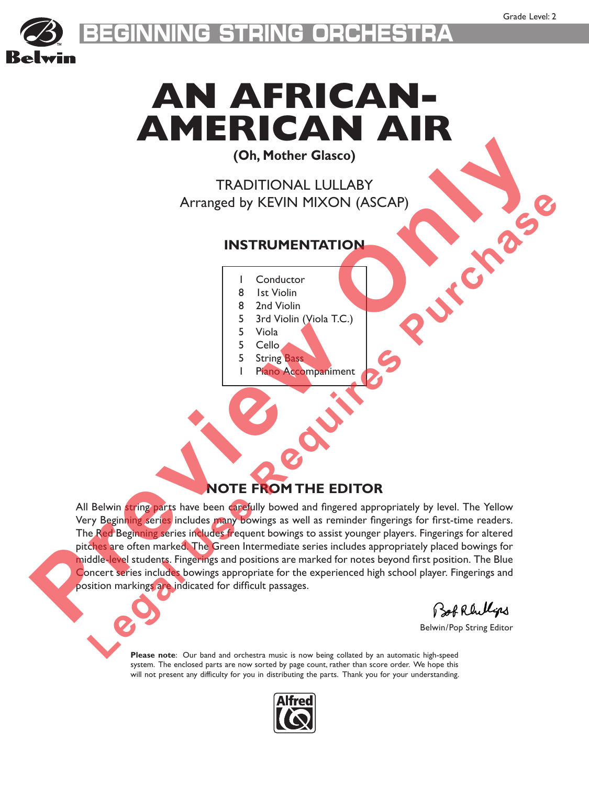

### **BEGINNING STRING ORCHESTRA**

# **an africanamerican air**

#### **(Oh, Mother Glasco)**

traditional lullaby Arranged by kevin mixon (ascap)

#### **INSTRUMENTATION**

- 1 Conductor
- 8 1st Violin
- 8 2nd Violin
- 5 3rd Violin (Viola T.C.)
- 5 Viola
- 5 Cello
- 5 String Bass
- Piano Accompaniment

#### **Note from the editor**

All Belwin string parts have been carefully bowed and fingered appropriately by level. The Yellow Very Beginning series includes many bowings as well as reminder fingerings for first-time readers. The Red Beginning series includes frequent bowings to assist younger players. Fingerings for altered pitches are often marked. The Green Intermediate series includes appropriately placed bowings for middle-level students. Fingerings and positions are marked for notes beyond first position. The Blue Concert series includes bowings appropriate for the experienced high school player. Fingerings and position markings are indicated for difficult passages. **PRADITIONAL LULLABY<br>
TRADITIONAL LULLABY<br>
Arranged by KEVIN MIXON (ASCAP)<br>
INSTRUMENTATION<br>
INSTRUMENTATION<br>
IS Strictly<br>
<sup>8</sup> bix Violin<br>
<sup>8</sup> bix Violin<br>
<sup>8</sup> bix Violin<br>
<sup>8</sup> bix Violin<br>
<sup>8</sup> bix Violin<br>
<sup>8</sup> bix Violin<br>
<sup>8</sup>** Arranged by KEVIN MIXON (ASCAP)<br>
INSTRUMENTATION<br>
IS TRUMENTATION<br>
B 2nd Volin<br>
S Vola<br>
S Cello<br>
S Cello<br>
S Cello<br>
S Cello<br>
S Cello<br>
S Cello<br>
S Cello<br>
S Cello<br>
S Cello<br>
S Cello<br>
S Cello<br>
S Cello<br>
I Price Accompaniment<br>
Pap

Belwin/Pop String Editor

**Please note**: Our band and orchestra music is now being collated by an automatic high-speed system. The enclosed parts are now sorted by page count, rather than score order. We hope this will not present any difficulty for you in distributing the parts. Thank you for your understanding.

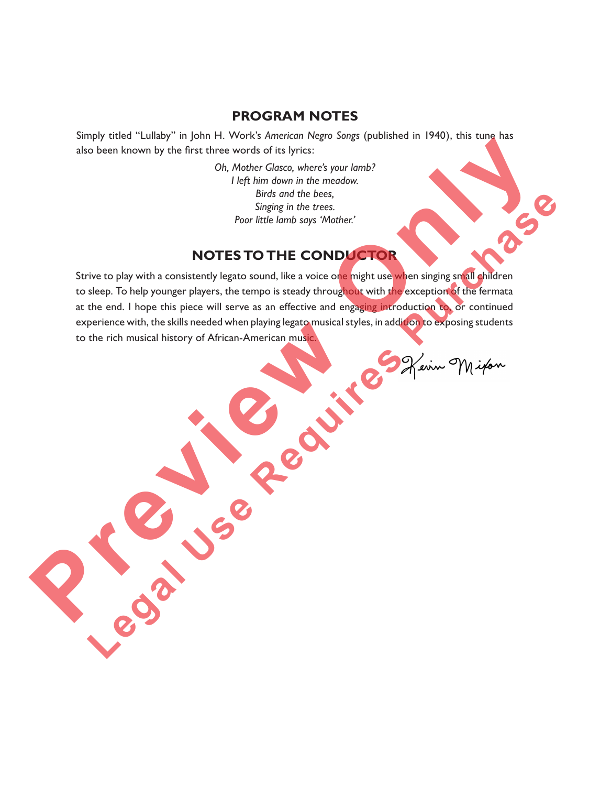#### **program notes**

Simply titled "Lullaby" in John H. Work's *American Negro Songs* (published in 1940), this tune has also been known by the first three words of its lyrics:

> *Oh, Mother Glasco, where's your lamb? I left him down in the meadow. Birds and the bees, Singing in the trees. Poor little lamb says 'Mother.'*

#### **notes to the conductor**

Strive to play with a consistently legato sound, like a voice one might use when singing small children to sleep. To help younger players, the tempo is steady throughout with the exception of the fermata at the end. I hope this piece will serve as an effective and engaging introduction to, or continued experience with, the skills needed when playing legato musical styles, in addition to exposing students to the rich musical history of African-American music. State Country in the first three words of its lyrics:<br>
The film down in the meetdow.<br>
The film down in the meetdow.<br>
Preview Country Supplementary is the control of the base,<br>
Preview Only with a construction of African Am Bright in the Deet.<br>
Your little lamb say: Wather.<br>
Your little lamb say: Wather.<br>
NOTES TO THE CONDUCTOR<br>
Notice to play with a consistently legate sound, like a voice one might use when singing and private the<br>
the end.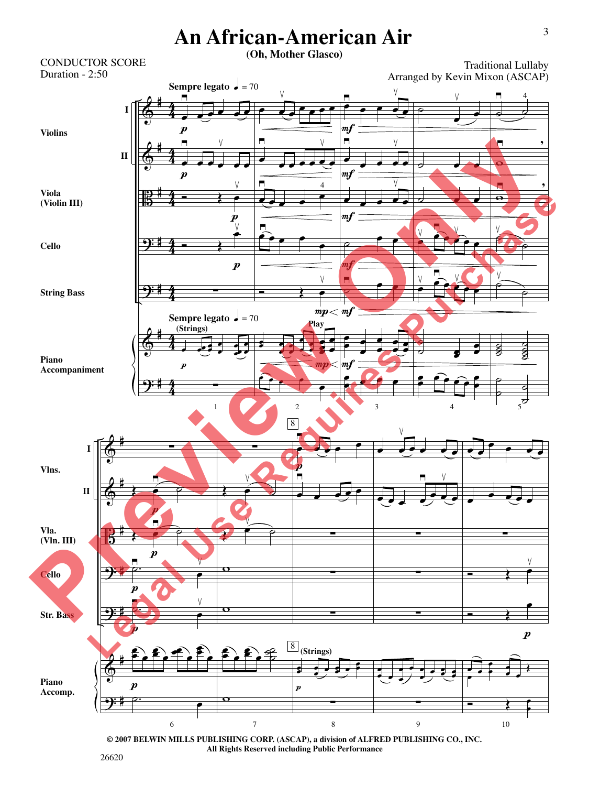## **An African-American Air** (Oh, Mother Glasco)

 $\pmb{\Phi}$  $\pmb{\Phi}$ B <u>.</u> <u>.</u>  $\pmb{\Phi}$ <u>.</u> # # # # # # # 4 4 4 4 4 4 4 4 4 4 4 4 4 4 **Cello Violins Viola (Violin III) String Bass Piano Accompaniment I II (Strings) Sempre legato**  $\boldsymbol{J} = 70$ **Sempre legato**  $\sqrt{ } = 70$ œ ≥  $p$ œ ≥ **e** e e e<br>p  $\frac{V}{I}$  $\frac{1}{\bullet}$  $\overline{\phantom{a}}$ ≤  $\boldsymbol{p}$ <sup>Ó</sup> <sup>Œ</sup> <sup>œ</sup> ≤  $\boldsymbol{p}$ ∑ œ p  $\overline{\cdot}$  $\frac{1}{\epsilon}$  $\frac{1}{\cdot}$ œœ œ œ 1 ∑ **Play**  $\bullet$ ≤ œ œ œ œ œ œ ≥ <del>. . . .</del> . ≤ œ œ ≥  $\bullet$   $\bullet$   $\bullet$ 4 œ ™<br>■ <del>● ●</del><br>━ <del>●</del>  $\overrightarrow{a}$  $\frac{1}{2}$  $mp.$ œ œ œ  $\bullet$ œ œ  $\mathbf{E}$  $\frac{1}{\sqrt{2}}$ œœ  $\mathbf{m} \mathbf{p}$ œ œ 2 <sup>œ</sup> <sup>œ</sup> <sup>œ</sup> <sup>œ</sup> <sup>œ</sup> œ ≥  $m f$  $\overline{\qquad \qquad }$ ≤ œ œ ≥  $\frac{1}{m}$   $\frac{1}{m}$   $\frac{1}{m}$ ≤ œ œ  $\frac{1}{\frac{1}{2}}$   $\frac{1}{\frac{1}{2}}$   $\frac{1}{2}$   $\frac{1}{2}$   $\frac{1}{2}$   $\frac{1}{2}$   $\frac{1}{2}$   $\frac{1}{2}$   $\frac{1}{2}$   $\frac{1}{2}$   $\frac{1}{2}$   $\frac{1}{2}$   $\frac{1}{2}$   $\frac{1}{2}$   $\frac{1}{2}$   $\frac{1}{2}$   $\frac{1}{2}$   $\frac{1}{2}$   $\frac{1}{2}$   $\frac{1}{2}$   $\frac{1}{2}$  ≤ œ 。<br>P mf œ œ ˙ ≥  $<$  mf œ œ œ œ  $\eta f$ œ  $\frac{1}{\cdot}$ œ œ  $\frac{1}{\sqrt{2}}$ œ 3 œ œ œ œ œ  $^{\circ}$  $\frac{v}{\sqrt{2}}$  $\overline{\sigma}$   $\overline{\sigma}$ ˙ œ œ œ ≤ œ≥ <sup>œ</sup> <sup>œ</sup> ≤ œ œ œ ≤ œ  $\frac{1}{2}$ ≤ œ œ  $\bullet$ 。<br>。 <sub>卷</sub> œ 4 œ  $\therefore$ œ ∕ ©∟ ≥  $\overline{z}$ 4 w <u>प</u>  $\frac{1}{\mathbf{e}}$ ≥ , ˙ ∨<br>≃ i<br>P ˙ ∨<br>~  $\geq$ ˙˙˙  $\frac{1}{2}$ ˙˙˙ 5 ˙  $\overline{\phantom{a}}$  $\overline{\phantom{0}}$  $\overline{z}$  $\pmb{\Phi}$  $\pmb{\Phi}$ B  $\ddot{\mathbf{e}}$ <u>9:</u>  $\pmb{\Phi}$ <u>9:</u> # # # # # # # **Cello Vlns. Vla. (Vln. III) Str. Bass Piano Accomp. I II** ∑  $\overline{\mathbf{c}}$ ≥ p ˙  $\overline{\phantom{0}}$ ≥ p  $\overset{.}{\mathbf{P}}$ ˙. ≥  $\overline{p}$ œ ≤ **ّ.**<br>P <sup>p</sup> <sup>œ</sup>  $\frac{1}{2}$ œ  $\hat{e}$ ,  $\hat{e}$ ,  $\hat{e}$ ,  $\hat{e}$ 6 ˙. p œ ∑  $\leftarrow$  $\frac{V}{2}$ ˙ **P** ≤  $\overset{.}{\mathsf{P}}$ w w œ  $\bigoplus_{i=1}^n \bigoplus_{j=1}^n \bigoplus_{j=1}^n$  $\frac{1}{2}$ 7 o<br>O **(Strings)** 8 8 œ ≥ p  $\mathbf{E}$ œ ≥  $\overline{\mathcal{O}}$ ∑ ∑ ∑ œ œ p œ  $\frac{1}{2}$  :  $\cdot$   $\cdot$ œ 8 ∑  $\overline{\cdot}$ ≤ <u>e e e e</u>  $\overline{\mathbf{e}}$ ≥  $\frac{1}{\epsilon}$ ≤ œ ∑ ∑ ∑ œ  $\cdot$   $\cdot$ œ  $\frac{1}{\cdot}$  .  $\frac{1}{2}$ œ œ œ 9 ∑  $\overline{C}$  $\overline{\phantom{a}}$ ∑  $\overrightarrow{z}$ ≤  $\overrightarrow{a}$  $\boldsymbol{p}$  $\hat{\Box}$ :  $\dddot{\bullet}$  $\begin{array}{ccc} \bullet & \bullet & \bullet & \bullet \\ \bullet & \bullet & \bullet & \bullet \end{array}$ 10  $\overrightarrow{a}$ œ Traditional Lullaby Arranged by Kevin Mixon (ASCAP) **CONDUCTOR SCORE** Duration - 2:50 **Preview Only Legal Use Requires Purchase**

> **© 2007 BELWIN MILLS PUBLISHING CORP. (ASCAP), a division of ALFRED PUBLISHING CO., INC. All Rights Reserved including Public Performance**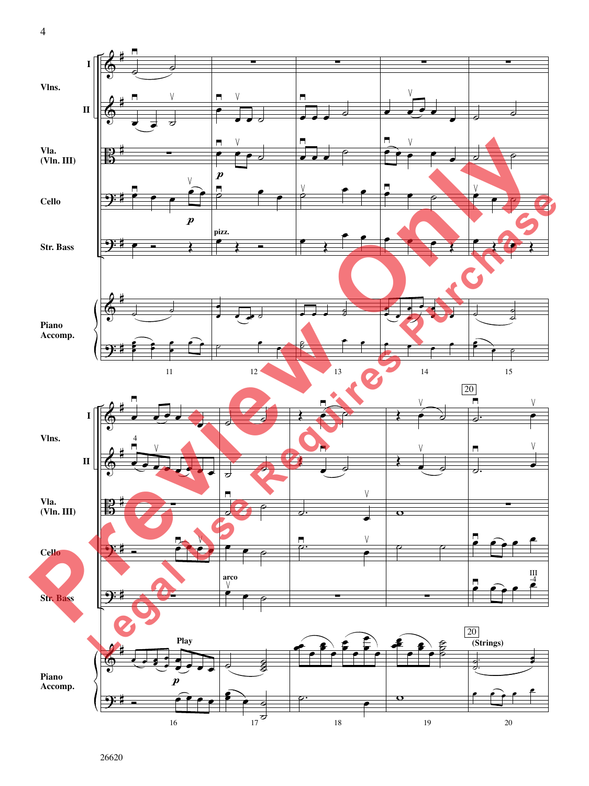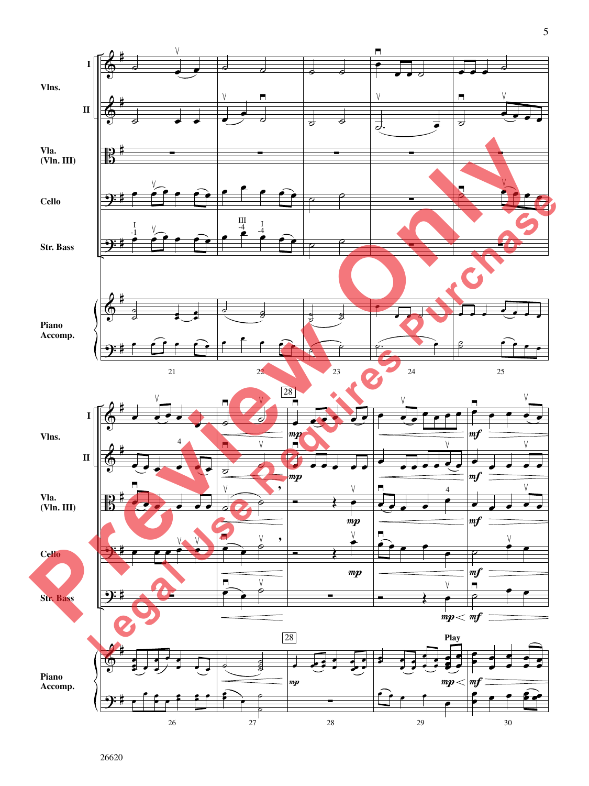

5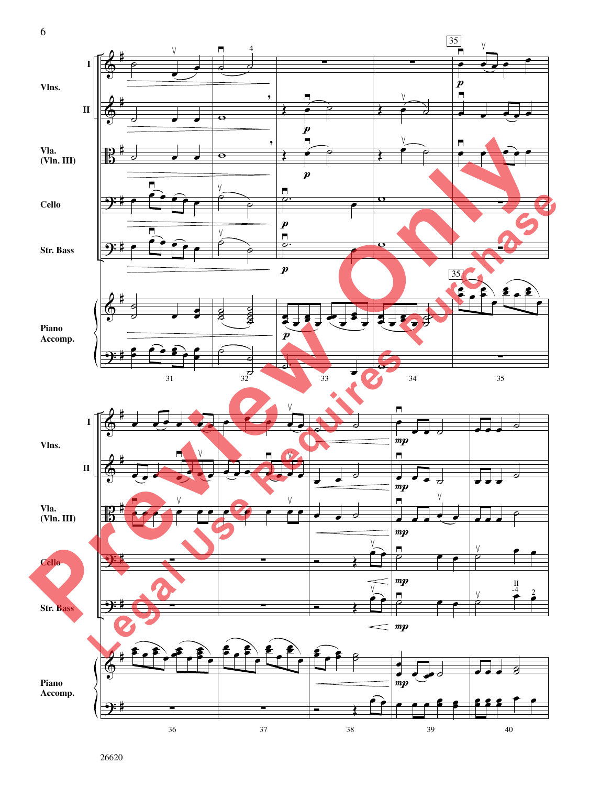